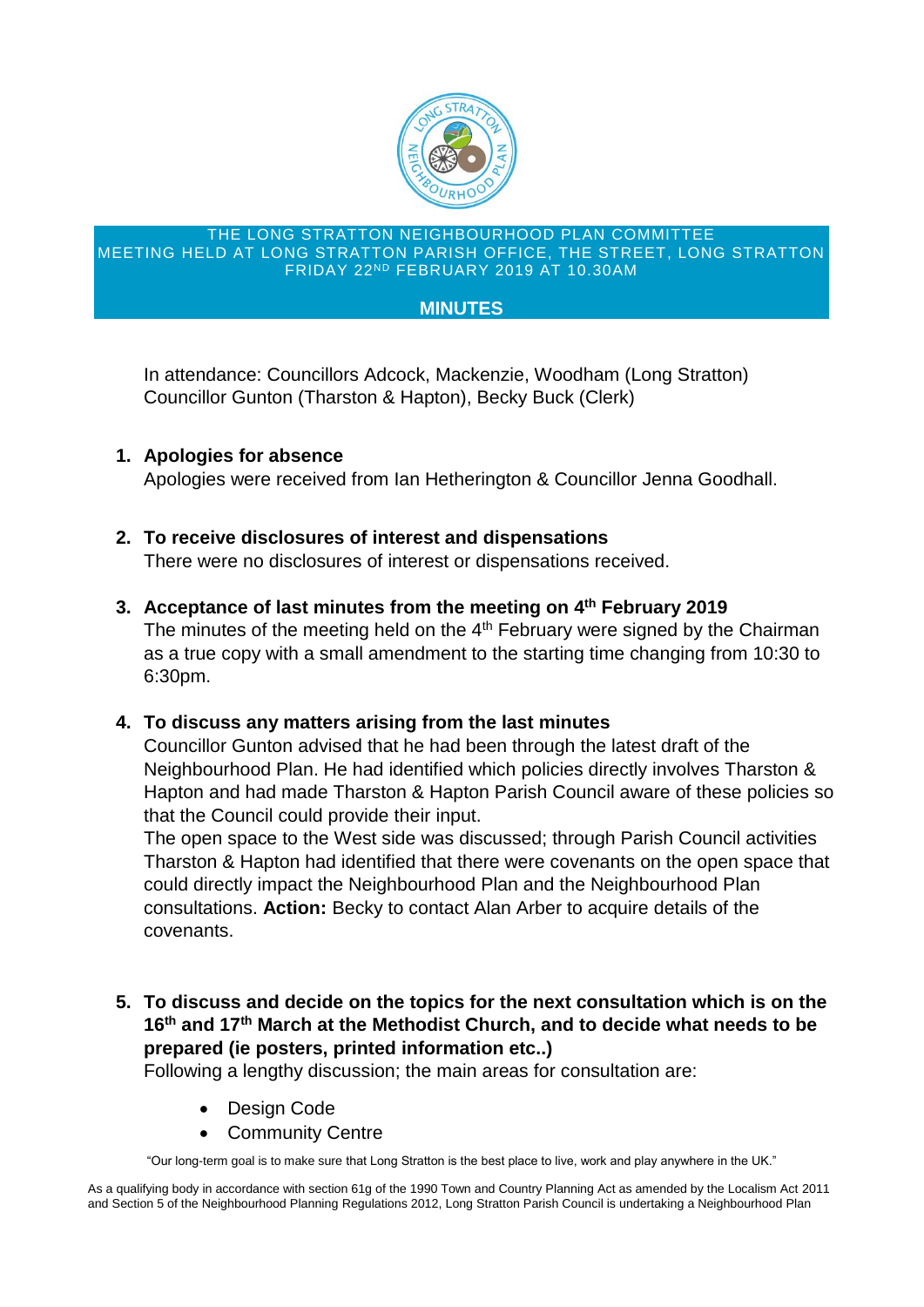

#### THE LONG STRATTON NEIGHBOURHOOD PLAN COMMITTEE MEETING HELD AT LONG STRATTON PARISH OFFICE, THE STREET, LONG STRATTON FRIDAY 22ND FEBRUARY 2019 AT 10.30AM

#### **MINUTES**

In attendance: Councillors Adcock, Mackenzie, Woodham (Long Stratton) Councillor Gunton (Tharston & Hapton), Becky Buck (Clerk)

**1. Apologies for absence**

Apologies were received from Ian Hetherington & Councillor Jenna Goodhall.

# **2. To receive disclosures of interest and dispensations**

There were no disclosures of interest or dispensations received.

## **3. Acceptance of last minutes from the meeting on 4 th February 2019**

The minutes of the meeting held on the 4<sup>th</sup> February were signed by the Chairman as a true copy with a small amendment to the starting time changing from 10:30 to 6:30pm.

## **4. To discuss any matters arising from the last minutes**

Councillor Gunton advised that he had been through the latest draft of the Neighbourhood Plan. He had identified which policies directly involves Tharston & Hapton and had made Tharston & Hapton Parish Council aware of these policies so that the Council could provide their input.

The open space to the West side was discussed; through Parish Council activities Tharston & Hapton had identified that there were covenants on the open space that could directly impact the Neighbourhood Plan and the Neighbourhood Plan consultations. **Action:** Becky to contact Alan Arber to acquire details of the covenants.

**5. To discuss and decide on the topics for the next consultation which is on the 16th and 17th March at the Methodist Church, and to decide what needs to be prepared (ie posters, printed information etc..)**

Following a lengthy discussion; the main areas for consultation are:

- Design Code
- **Community Centre**

"Our long-term goal is to make sure that Long Stratton is the best place to live, work and play anywhere in the UK."

As a qualifying body in accordance with section 61g of the 1990 Town and Country Planning Act as amended by the Localism Act 2011 and Section 5 of the Neighbourhood Planning Regulations 2012, Long Stratton Parish Council is undertaking a Neighbourhood Plan